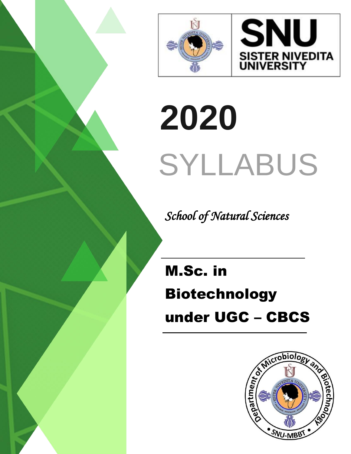



# **2020** SYLLABUS

 *School of Natural Sciences*

M.Sc. in Biotechnology under UGC – CBCS

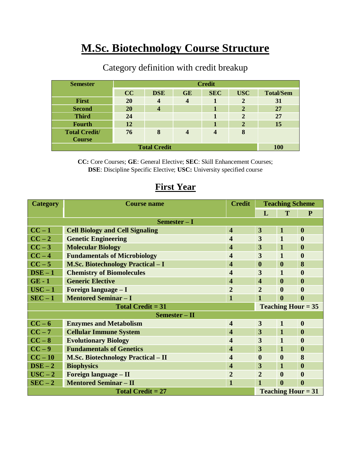## **M.Sc. Biotechnology Course Structure**

| <b>Semester</b>      | <b>Credit</b> |                         |                         |            |                |                  |  |
|----------------------|---------------|-------------------------|-------------------------|------------|----------------|------------------|--|
|                      | CC            | <b>DSE</b>              | <b>GE</b>               | <b>SEC</b> | <b>USC</b>     | <b>Total/Sem</b> |  |
| First                | <b>20</b>     | $\boldsymbol{4}$        | $\overline{\mathbf{4}}$ |            | 2              | 31               |  |
| <b>Second</b>        | <b>20</b>     | $\overline{\mathbf{4}}$ |                         |            | $\overline{2}$ | 27               |  |
| <b>Third</b>         | 24            |                         |                         |            | 2              | 27               |  |
| <b>Fourth</b>        | 12            |                         |                         |            | 2              | 15               |  |
| <b>Total Credit/</b> | 76            | 8                       |                         | 4          | 8              |                  |  |
| <b>Course</b>        |               |                         |                         |            |                |                  |  |
| <b>Total Credit</b>  |               |                         |                         |            | <b>100</b>     |                  |  |

#### Category definition with credit breakup

**CC:** Core Courses; **GE**: General Elective; **SEC**: Skill Enhancement Courses; **DSE**: Discipline Specific Elective; **USC:** University specified course

| <b>Category</b>          | <b>Course name</b>                        | <b>Credit</b>           | <b>Teaching Scheme</b>    |                  |                  |  |  |
|--------------------------|-------------------------------------------|-------------------------|---------------------------|------------------|------------------|--|--|
|                          |                                           |                         | L                         | T                | $\mathbf{P}$     |  |  |
| Semester - I             |                                           |                         |                           |                  |                  |  |  |
| $CC-1$                   | <b>Cell Biology and Cell Signaling</b>    |                         | 3                         | $\mathbf 1$      | $\boldsymbol{0}$ |  |  |
| $CC-2$                   | <b>Genetic Engineering</b>                |                         | 3                         | $\mathbf{1}$     | $\boldsymbol{0}$ |  |  |
| $CC-3$                   | <b>Molecular Biology</b>                  |                         | 3                         | $\mathbf{1}$     | $\boldsymbol{0}$ |  |  |
| $CC - 4$                 | <b>Fundamentals of Microbiology</b>       |                         | 3                         | $\mathbf{1}$     | $\boldsymbol{0}$ |  |  |
| $CC-5$                   | <b>M.Sc. Biotechnology Practical - I</b>  |                         | $\boldsymbol{0}$          | $\boldsymbol{0}$ | 8                |  |  |
| $DSE - 1$                | <b>Chemistry of Biomolecules</b>          | 4                       | 3                         | $\mathbf{1}$     | $\boldsymbol{0}$ |  |  |
| $GE - 1$                 | <b>Generic Elective</b>                   | $\overline{\mathbf{4}}$ | $\overline{\mathbf{4}}$   | $\bf{0}$         | $\boldsymbol{0}$ |  |  |
| $USC - 1$                | Foreign language - I                      | $\overline{2}$          | $\overline{2}$            | $\boldsymbol{0}$ | $\boldsymbol{0}$ |  |  |
| $SEC - 1$                | <b>Mentored Seminar - I</b>               | $\mathbf{1}$            | $\mathbf{1}$              | $\boldsymbol{0}$ | $\boldsymbol{0}$ |  |  |
| Total Credit $= 31$      |                                           |                         | <b>Teaching Hour = 35</b> |                  |                  |  |  |
| Semester - II            |                                           |                         |                           |                  |                  |  |  |
| $CC - 6$                 | <b>Enzymes and Metabolism</b>             | $\overline{\mathbf{4}}$ | $\overline{3}$            | $\mathbf{1}$     | $\boldsymbol{0}$ |  |  |
| $CC - 7$                 | <b>Cellular Immune System</b>             | $\overline{\mathbf{4}}$ | 3                         | $\mathbf 1$      | $\boldsymbol{0}$ |  |  |
| $CC-8$                   | <b>Evolutionary Biology</b>               | $\overline{\mathbf{4}}$ | 3                         | $\mathbf{1}$     | $\boldsymbol{0}$ |  |  |
| $CC-9$                   | <b>Fundamentals of Genetics</b>           | 4                       | 3                         | 1                | $\bf{0}$         |  |  |
| $CC - 10$                | <b>M.Sc. Biotechnology Practical – II</b> | $\overline{\mathbf{4}}$ | $\boldsymbol{0}$          | $\boldsymbol{0}$ | 8                |  |  |
| $\bf{DSE}-2$             | <b>Biophysics</b>                         | $\overline{\mathbf{4}}$ | 3                         | 1                | $\boldsymbol{0}$ |  |  |
| $USC - 2$                | Foreign language - II                     | $\overline{2}$          | $\overline{2}$            | $\boldsymbol{0}$ | $\boldsymbol{0}$ |  |  |
| $SEC-2$                  | <b>Mentored Seminar - II</b>              |                         | $\mathbf{1}$              | $\boldsymbol{0}$ | $\boldsymbol{0}$ |  |  |
| <b>Total Credit = 27</b> |                                           |                         | <b>Teaching Hour = 31</b> |                  |                  |  |  |

#### **First Year**